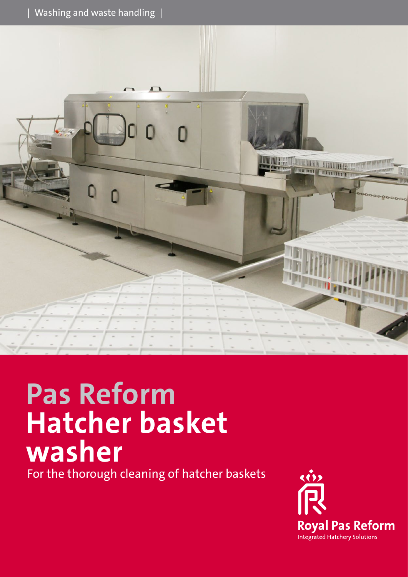



# **Pas Reform Hatcher basket washer**

For the thorough cleaning of hatcher baskets